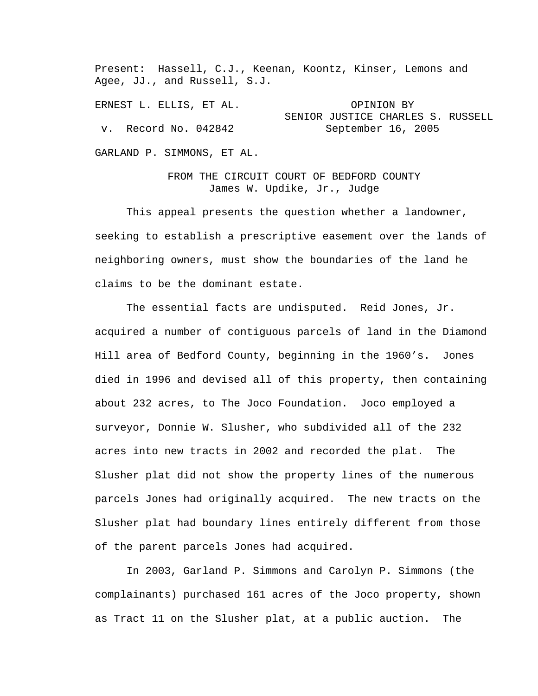Present: Hassell, C.J., Keenan, Koontz, Kinser, Lemons and Agee, JJ., and Russell, S.J.

ERNEST L. ELLIS, ET AL. OPINION BY SENIOR JUSTICE CHARLES S. RUSSELL v. Record No. 042842 September 16, 2005

GARLAND P. SIMMONS, ET AL.

FROM THE CIRCUIT COURT OF BEDFORD COUNTY James W. Updike, Jr., Judge

 This appeal presents the question whether a landowner, seeking to establish a prescriptive easement over the lands of neighboring owners, must show the boundaries of the land he claims to be the dominant estate.

 The essential facts are undisputed. Reid Jones, Jr. acquired a number of contiguous parcels of land in the Diamond Hill area of Bedford County, beginning in the 1960's. Jones died in 1996 and devised all of this property, then containing about 232 acres, to The Joco Foundation. Joco employed a surveyor, Donnie W. Slusher, who subdivided all of the 232 acres into new tracts in 2002 and recorded the plat. The Slusher plat did not show the property lines of the numerous parcels Jones had originally acquired. The new tracts on the Slusher plat had boundary lines entirely different from those of the parent parcels Jones had acquired.

 In 2003, Garland P. Simmons and Carolyn P. Simmons (the complainants) purchased 161 acres of the Joco property, shown as Tract 11 on the Slusher plat, at a public auction. The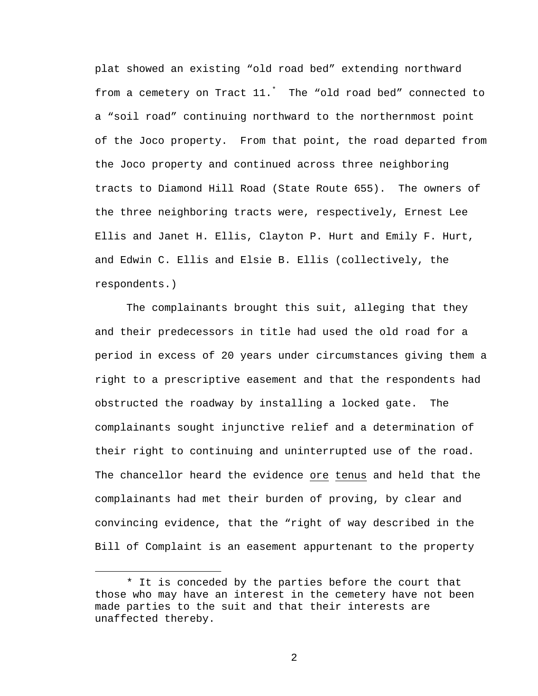plat showed an existing "old road bed" extending northward from a cemetery on Tract 11.\* The "old road bed" connected to a "soil road" continuing northward to the northernmost point of the Joco property. From that point, the road departed from the Joco property and continued across three neighboring tracts to Diamond Hill Road (State Route 655). The owners of the three neighboring tracts were, respectively, Ernest Lee Ellis and Janet H. Ellis, Clayton P. Hurt and Emily F. Hurt, and Edwin C. Ellis and Elsie B. Ellis (collectively, the respondents.)

 The complainants brought this suit, alleging that they and their predecessors in title had used the old road for a period in excess of 20 years under circumstances giving them a right to a prescriptive easement and that the respondents had obstructed the roadway by installing a locked gate. The complainants sought injunctive relief and a determination of their right to continuing and uninterrupted use of the road. The chancellor heard the evidence ore tenus and held that the complainants had met their burden of proving, by clear and convincing evidence, that the "right of way described in the Bill of Complaint is an easement appurtenant to the property

i<br>Li

<sup>\*</sup> It is conceded by the parties before the court that those who may have an interest in the cemetery have not been made parties to the suit and that their interests are unaffected thereby.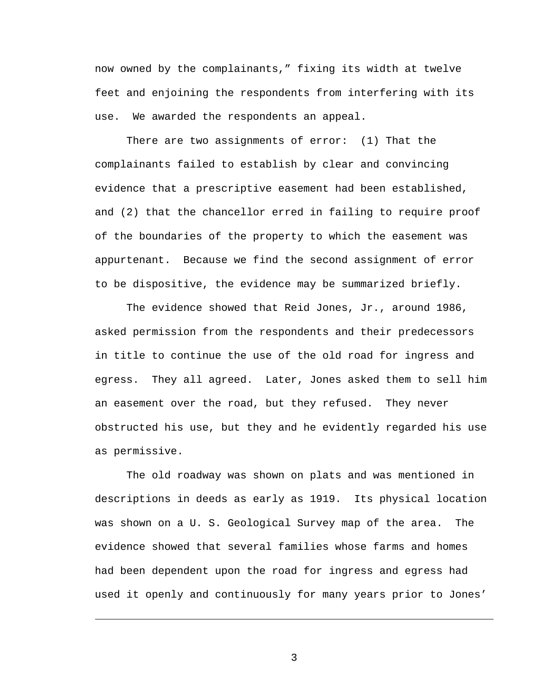now owned by the complainants," fixing its width at twelve feet and enjoining the respondents from interfering with its use. We awarded the respondents an appeal.

 There are two assignments of error: (1) That the complainants failed to establish by clear and convincing evidence that a prescriptive easement had been established, and (2) that the chancellor erred in failing to require proof of the boundaries of the property to which the easement was appurtenant. Because we find the second assignment of error to be dispositive, the evidence may be summarized briefly.

 The evidence showed that Reid Jones, Jr., around 1986, asked permission from the respondents and their predecessors in title to continue the use of the old road for ingress and egress. They all agreed. Later, Jones asked them to sell him an easement over the road, but they refused. They never obstructed his use, but they and he evidently regarded his use as permissive.

 The old roadway was shown on plats and was mentioned in descriptions in deeds as early as 1919. Its physical location was shown on a U. S. Geological Survey map of the area. The evidence showed that several families whose farms and homes had been dependent upon the road for ingress and egress had used it openly and continuously for many years prior to Jones'

3

i<br>Li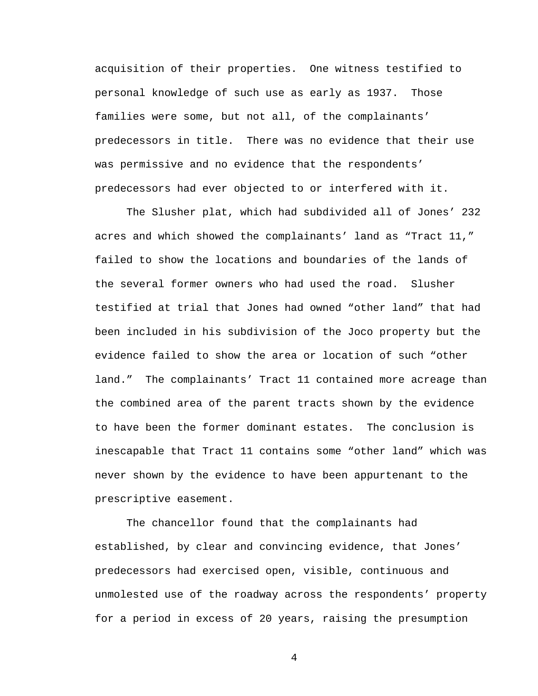acquisition of their properties. One witness testified to personal knowledge of such use as early as 1937. Those families were some, but not all, of the complainants' predecessors in title. There was no evidence that their use was permissive and no evidence that the respondents' predecessors had ever objected to or interfered with it.

 The Slusher plat, which had subdivided all of Jones' 232 acres and which showed the complainants' land as "Tract 11," failed to show the locations and boundaries of the lands of the several former owners who had used the road. Slusher testified at trial that Jones had owned "other land" that had been included in his subdivision of the Joco property but the evidence failed to show the area or location of such "other land." The complainants' Tract 11 contained more acreage than the combined area of the parent tracts shown by the evidence to have been the former dominant estates. The conclusion is inescapable that Tract 11 contains some "other land" which was never shown by the evidence to have been appurtenant to the prescriptive easement.

 The chancellor found that the complainants had established, by clear and convincing evidence, that Jones' predecessors had exercised open, visible, continuous and unmolested use of the roadway across the respondents' property for a period in excess of 20 years, raising the presumption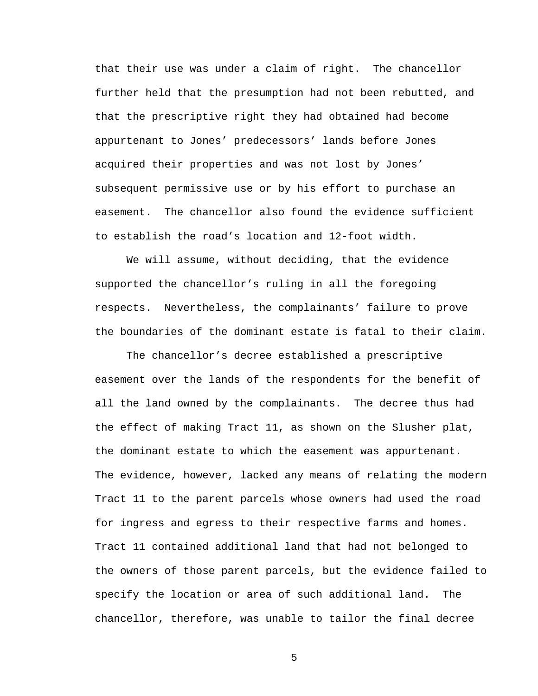that their use was under a claim of right. The chancellor further held that the presumption had not been rebutted, and that the prescriptive right they had obtained had become appurtenant to Jones' predecessors' lands before Jones acquired their properties and was not lost by Jones' subsequent permissive use or by his effort to purchase an easement. The chancellor also found the evidence sufficient to establish the road's location and 12-foot width.

 We will assume, without deciding, that the evidence supported the chancellor's ruling in all the foregoing respects. Nevertheless, the complainants' failure to prove the boundaries of the dominant estate is fatal to their claim.

 The chancellor's decree established a prescriptive easement over the lands of the respondents for the benefit of all the land owned by the complainants. The decree thus had the effect of making Tract 11, as shown on the Slusher plat, the dominant estate to which the easement was appurtenant. The evidence, however, lacked any means of relating the modern Tract 11 to the parent parcels whose owners had used the road for ingress and egress to their respective farms and homes. Tract 11 contained additional land that had not belonged to the owners of those parent parcels, but the evidence failed to specify the location or area of such additional land. The chancellor, therefore, was unable to tailor the final decree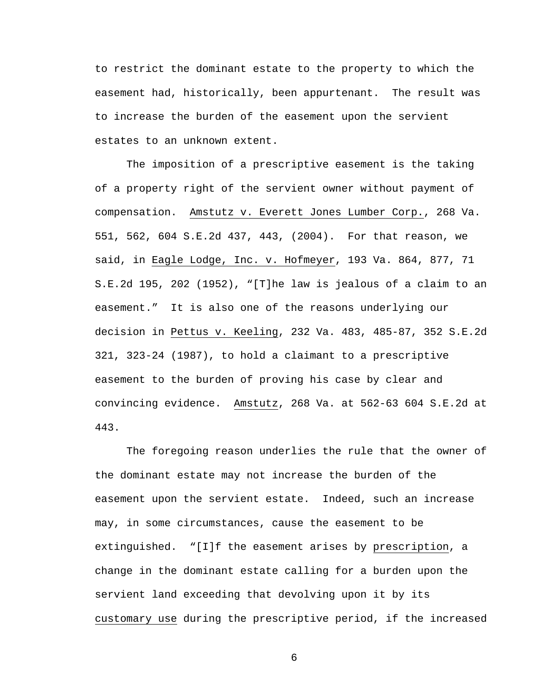to restrict the dominant estate to the property to which the easement had, historically, been appurtenant. The result was to increase the burden of the easement upon the servient estates to an unknown extent.

 The imposition of a prescriptive easement is the taking of a property right of the servient owner without payment of compensation. Amstutz v. Everett Jones Lumber Corp., 268 Va. 551, 562, 604 S.E.2d 437, 443, (2004). For that reason, we said, in Eagle Lodge, Inc. v. Hofmeyer, 193 Va. 864, 877, 71 S.E.2d 195, 202 (1952), "[T]he law is jealous of a claim to an easement." It is also one of the reasons underlying our decision in Pettus v. Keeling, 232 Va. 483, 485-87, 352 S.E.2d 321, 323-24 (1987), to hold a claimant to a prescriptive easement to the burden of proving his case by clear and convincing evidence. Amstutz, 268 Va. at 562-63 604 S.E.2d at 443.

 The foregoing reason underlies the rule that the owner of the dominant estate may not increase the burden of the easement upon the servient estate. Indeed, such an increase may, in some circumstances, cause the easement to be extinguished. "[I]f the easement arises by prescription, a change in the dominant estate calling for a burden upon the servient land exceeding that devolving upon it by its customary use during the prescriptive period, if the increased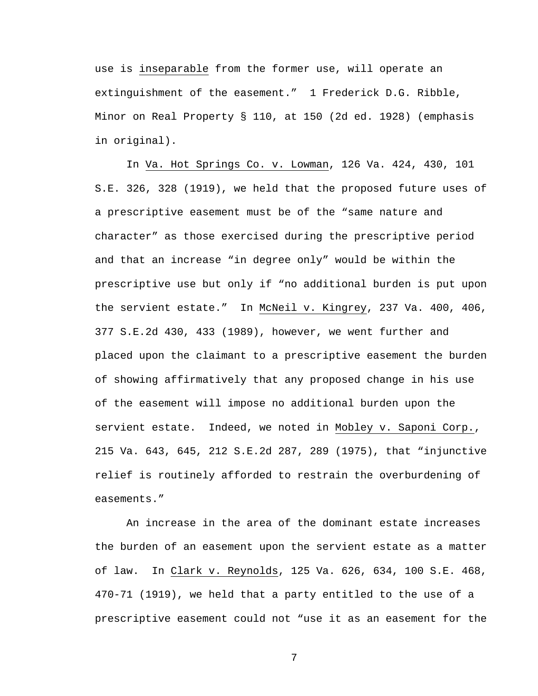use is inseparable from the former use, will operate an extinguishment of the easement." 1 Frederick D.G. Ribble, Minor on Real Property § 110, at 150 (2d ed. 1928) (emphasis in original).

 In Va. Hot Springs Co. v. Lowman, 126 Va. 424, 430, 101 S.E. 326, 328 (1919), we held that the proposed future uses of a prescriptive easement must be of the "same nature and character" as those exercised during the prescriptive period and that an increase "in degree only" would be within the prescriptive use but only if "no additional burden is put upon the servient estate." In McNeil v. Kingrey, 237 Va. 400, 406, 377 S.E.2d 430, 433 (1989), however, we went further and placed upon the claimant to a prescriptive easement the burden of showing affirmatively that any proposed change in his use of the easement will impose no additional burden upon the servient estate. Indeed, we noted in Mobley v. Saponi Corp., 215 Va. 643, 645, 212 S.E.2d 287, 289 (1975), that "injunctive relief is routinely afforded to restrain the overburdening of easements."

 An increase in the area of the dominant estate increases the burden of an easement upon the servient estate as a matter of law. In Clark v. Reynolds, 125 Va. 626, 634, 100 S.E. 468, 470-71 (1919), we held that a party entitled to the use of a prescriptive easement could not "use it as an easement for the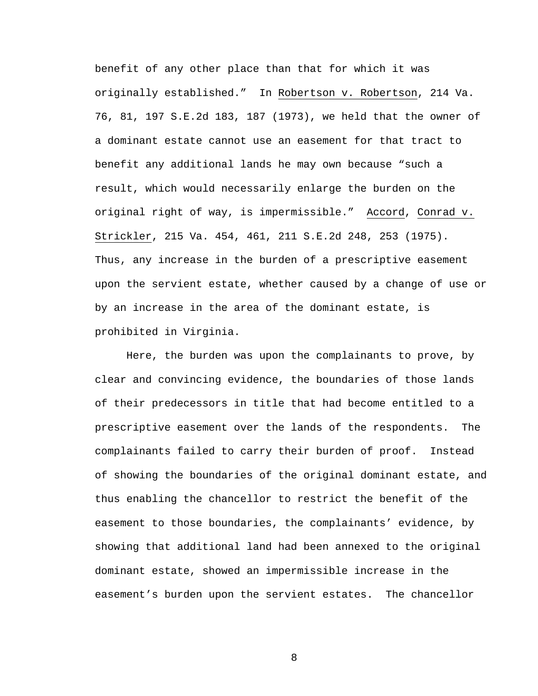benefit of any other place than that for which it was originally established." In Robertson v. Robertson, 214 Va. 76, 81, 197 S.E.2d 183, 187 (1973), we held that the owner of a dominant estate cannot use an easement for that tract to benefit any additional lands he may own because "such a result, which would necessarily enlarge the burden on the original right of way, is impermissible." Accord, Conrad v. Strickler, 215 Va. 454, 461, 211 S.E.2d 248, 253 (1975). Thus, any increase in the burden of a prescriptive easement upon the servient estate, whether caused by a change of use or by an increase in the area of the dominant estate, is prohibited in Virginia.

 Here, the burden was upon the complainants to prove, by clear and convincing evidence, the boundaries of those lands of their predecessors in title that had become entitled to a prescriptive easement over the lands of the respondents. The complainants failed to carry their burden of proof. Instead of showing the boundaries of the original dominant estate, and thus enabling the chancellor to restrict the benefit of the easement to those boundaries, the complainants' evidence, by showing that additional land had been annexed to the original dominant estate, showed an impermissible increase in the easement's burden upon the servient estates. The chancellor